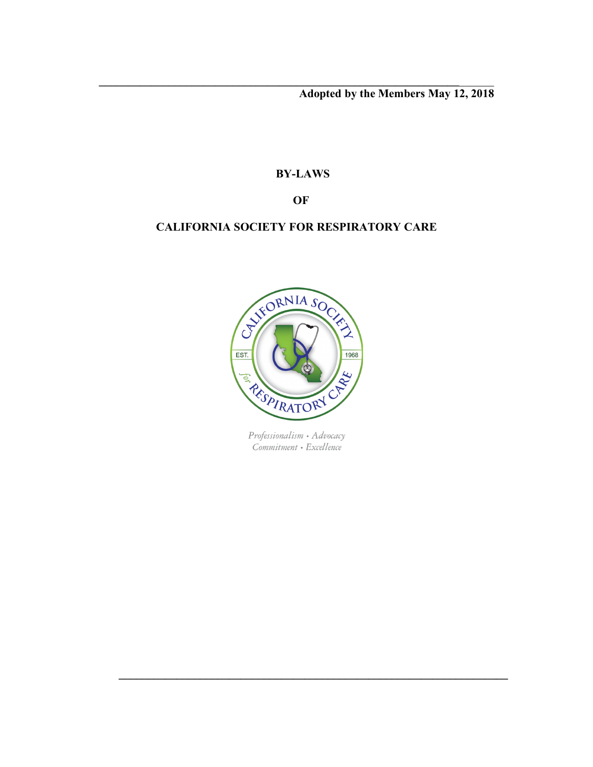**Adopted by the Members May 12, 2018**

# **BY-LAWS**

 $\mathcal{L} = \{ \mathcal{L} \mathcal{L} \mathcal{L} \mathcal{L} \mathcal{L} \mathcal{L} \mathcal{L} \mathcal{L} \mathcal{L} \mathcal{L} \mathcal{L} \mathcal{L} \mathcal{L} \mathcal{L} \mathcal{L} \mathcal{L} \mathcal{L} \mathcal{L} \mathcal{L} \mathcal{L} \mathcal{L} \mathcal{L} \mathcal{L} \mathcal{L} \mathcal{L} \mathcal{L} \mathcal{L} \mathcal{L} \mathcal{L} \mathcal{L} \mathcal{L} \mathcal{L} \mathcal{L} \mathcal{L} \mathcal{L} \$ 

**OF**

# **CALIFORNIA SOCIETY FOR RESPIRATORY CARE**



Professionalism • Advocacy Commitment • Excellence

 $\mathcal{L} = \{ \mathcal{L} = \{ \mathcal{L} \} \cup \{ \mathcal{L} \} \cup \{ \mathcal{L} \} \cup \{ \mathcal{L} \} \cup \{ \mathcal{L} \} \cup \{ \mathcal{L} \} \cup \{ \mathcal{L} \} \cup \{ \mathcal{L} \} \cup \{ \mathcal{L} \} \cup \{ \mathcal{L} \} \cup \{ \mathcal{L} \} \cup \{ \mathcal{L} \} \cup \{ \mathcal{L} \} \cup \{ \mathcal{L} \} \cup \{ \mathcal{L} \} \cup \{ \mathcal{L} \} \cup \{ \mathcal{L} \} \cup$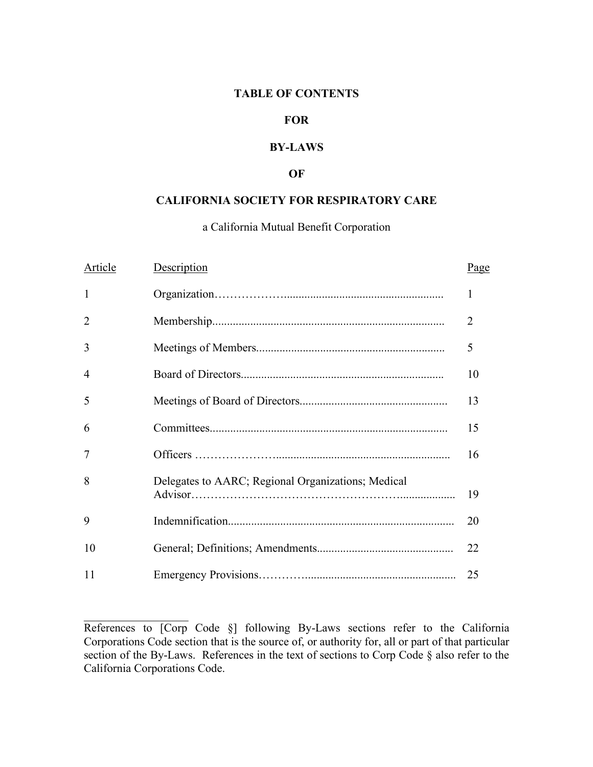## **TABLE OF CONTENTS**

## **FOR**

## **BY-LAWS**

### **OF**

# **CALIFORNIA SOCIETY FOR RESPIRATORY CARE**

# a California Mutual Benefit Corporation

| Article        | Description                                        | Page           |
|----------------|----------------------------------------------------|----------------|
| 1              |                                                    | 1              |
| $\overline{2}$ |                                                    | $\overline{2}$ |
| 3              |                                                    | 5              |
| $\overline{4}$ |                                                    | 10             |
| 5              |                                                    | 13             |
| 6              |                                                    | 15             |
| 7              |                                                    | 16             |
| 8              | Delegates to AARC; Regional Organizations; Medical | 19             |
| 9              |                                                    | 20             |
| 10             |                                                    | 22             |
| 11             |                                                    | 25             |

 $\mathcal{L}_\text{max}$ 

References to [Corp Code §] following By-Laws sections refer to the California Corporations Code section that is the source of, or authority for, all or part of that particular section of the By-Laws. References in the text of sections to Corp Code § also refer to the California Corporations Code.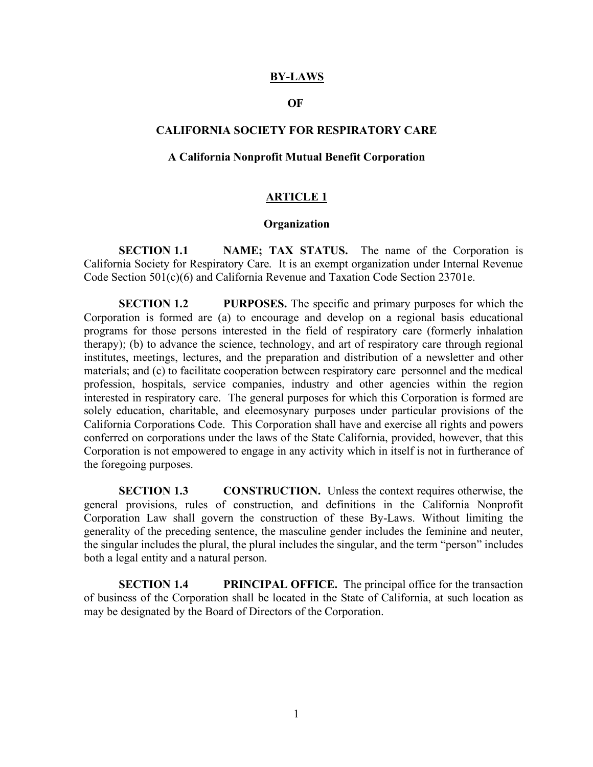#### **BY-LAWS**

#### **OF**

## **CALIFORNIA SOCIETY FOR RESPIRATORY CARE**

#### **A California Nonprofit Mutual Benefit Corporation**

## **ARTICLE 1**

### **Organization**

**SECTION 1.1 NAME; TAX STATUS.** The name of the Corporation is California Society for Respiratory Care. It is an exempt organization under Internal Revenue Code Section 501(c)(6) and California Revenue and Taxation Code Section 23701e.

**SECTION 1.2 PURPOSES.** The specific and primary purposes for which the Corporation is formed are (a) to encourage and develop on a regional basis educational programs for those persons interested in the field of respiratory care (formerly inhalation therapy); (b) to advance the science, technology, and art of respiratory care through regional institutes, meetings, lectures, and the preparation and distribution of a newsletter and other materials; and (c) to facilitate cooperation between respiratory care personnel and the medical profession, hospitals, service companies, industry and other agencies within the region interested in respiratory care. The general purposes for which this Corporation is formed are solely education, charitable, and eleemosynary purposes under particular provisions of the California Corporations Code. This Corporation shall have and exercise all rights and powers conferred on corporations under the laws of the State California, provided, however, that this Corporation is not empowered to engage in any activity which in itself is not in furtherance of the foregoing purposes.

**SECTION 1.3 CONSTRUCTION.** Unless the context requires otherwise, the general provisions, rules of construction, and definitions in the California Nonprofit Corporation Law shall govern the construction of these By-Laws. Without limiting the generality of the preceding sentence, the masculine gender includes the feminine and neuter, the singular includes the plural, the plural includes the singular, and the term "person" includes both a legal entity and a natural person.

**SECTION 1.4 PRINCIPAL OFFICE.** The principal office for the transaction of business of the Corporation shall be located in the State of California, at such location as may be designated by the Board of Directors of the Corporation.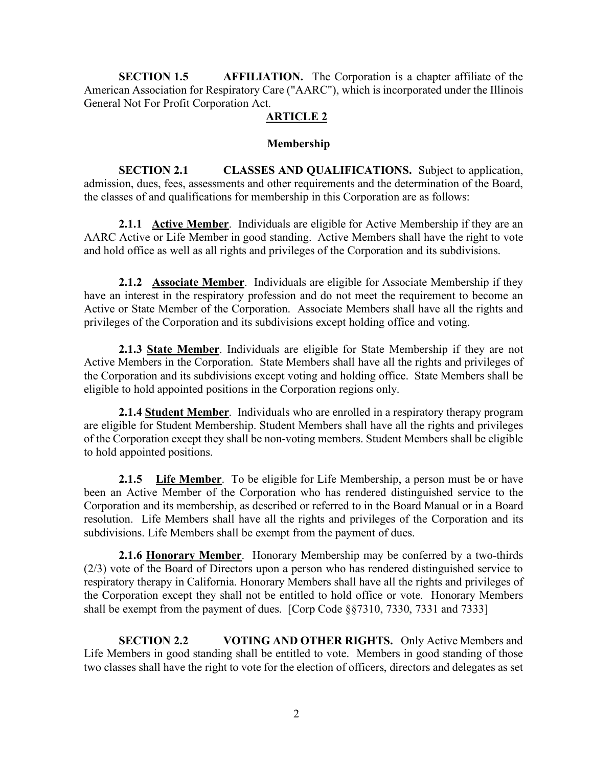**SECTION 1.5 AFFILIATION.** The Corporation is a chapter affiliate of the American Association for Respiratory Care ("AARC"), which is incorporated under the Illinois General Not For Profit Corporation Act.

# **ARTICLE 2**

# **Membership**

**SECTION 2.1 CLASSES AND QUALIFICATIONS.** Subject to application, admission, dues, fees, assessments and other requirements and the determination of the Board, the classes of and qualifications for membership in this Corporation are as follows:

**2.1.1 Active Member**. Individuals are eligible for Active Membership if they are an AARC Active or Life Member in good standing. Active Members shall have the right to vote and hold office as well as all rights and privileges of the Corporation and its subdivisions.

 **2.1.2 Associate Member**. Individuals are eligible for Associate Membership if they have an interest in the respiratory profession and do not meet the requirement to become an Active or State Member of the Corporation. Associate Members shall have all the rights and privileges of the Corporation and its subdivisions except holding office and voting.

**2.1.3 State Member**. Individuals are eligible for State Membership if they are not Active Members in the Corporation. State Members shall have all the rights and privileges of the Corporation and its subdivisions except voting and holding office. State Members shall be eligible to hold appointed positions in the Corporation regions only.

**2.1.4 Student Member**. Individuals who are enrolled in a respiratory therapy program are eligible for Student Membership. Student Members shall have all the rights and privileges of the Corporation except they shall be non-voting members. Student Members shall be eligible to hold appointed positions.

**2.1.5 Life Member**. To be eligible for Life Membership, a person must be or have been an Active Member of the Corporation who has rendered distinguished service to the Corporation and its membership, as described or referred to in the Board Manual or in a Board resolution. Life Members shall have all the rights and privileges of the Corporation and its subdivisions. Life Members shall be exempt from the payment of dues.

**2.1.6 Honorary Member**. Honorary Membership may be conferred by a two-thirds (2/3) vote of the Board of Directors upon a person who has rendered distinguished service to respiratory therapy in California. Honorary Members shall have all the rights and privileges of the Corporation except they shall not be entitled to hold office or vote. Honorary Members shall be exempt from the payment of dues. [Corp Code §§7310, 7330, 7331 and 7333]

**SECTION 2.2 VOTING AND OTHER RIGHTS.** Only Active Members and Life Members in good standing shall be entitled to vote. Members in good standing of those two classes shall have the right to vote for the election of officers, directors and delegates as set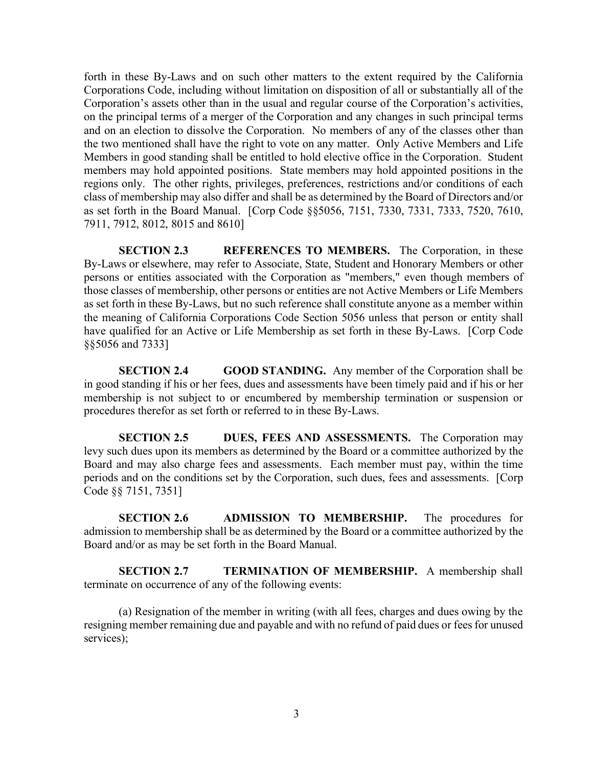forth in these By-Laws and on such other matters to the extent required by the California Corporations Code, including without limitation on disposition of all or substantially all of the Corporation's assets other than in the usual and regular course of the Corporation's activities, on the principal terms of a merger of the Corporation and any changes in such principal terms and on an election to dissolve the Corporation. No members of any of the classes other than the two mentioned shall have the right to vote on any matter. Only Active Members and Life Members in good standing shall be entitled to hold elective office in the Corporation. Student members may hold appointed positions. State members may hold appointed positions in the regions only. The other rights, privileges, preferences, restrictions and/or conditions of each class of membership may also differ and shall be as determined by the Board of Directors and/or as set forth in the Board Manual. [Corp Code §§5056, 7151, 7330, 7331, 7333, 7520, 7610, 7911, 7912, 8012, 8015 and 8610]

**SECTION 2.3 REFERENCES TO MEMBERS.** The Corporation, in these By-Laws or elsewhere, may refer to Associate, State, Student and Honorary Members or other persons or entities associated with the Corporation as "members," even though members of those classes of membership, other persons or entities are not Active Members or Life Members as set forth in these By-Laws, but no such reference shall constitute anyone as a member within the meaning of California Corporations Code Section 5056 unless that person or entity shall have qualified for an Active or Life Membership as set forth in these By-Laws. [Corp Code §§5056 and 7333]

**SECTION 2.4 GOOD STANDING.** Any member of the Corporation shall be in good standing if his or her fees, dues and assessments have been timely paid and if his or her membership is not subject to or encumbered by membership termination or suspension or procedures therefor as set forth or referred to in these By-Laws.

**SECTION 2.5 DUES, FEES AND ASSESSMENTS.** The Corporation may levy such dues upon its members as determined by the Board or a committee authorized by the Board and may also charge fees and assessments. Each member must pay, within the time periods and on the conditions set by the Corporation, such dues, fees and assessments. [Corp Code §§ 7151, 7351]

**SECTION 2.6 ADMISSION TO MEMBERSHIP.** The procedures for admission to membership shall be as determined by the Board or a committee authorized by the Board and/or as may be set forth in the Board Manual.

**SECTION 2.7 TERMINATION OF MEMBERSHIP.** A membership shall terminate on occurrence of any of the following events:

(a) Resignation of the member in writing (with all fees, charges and dues owing by the resigning member remaining due and payable and with no refund of paid dues or fees for unused services);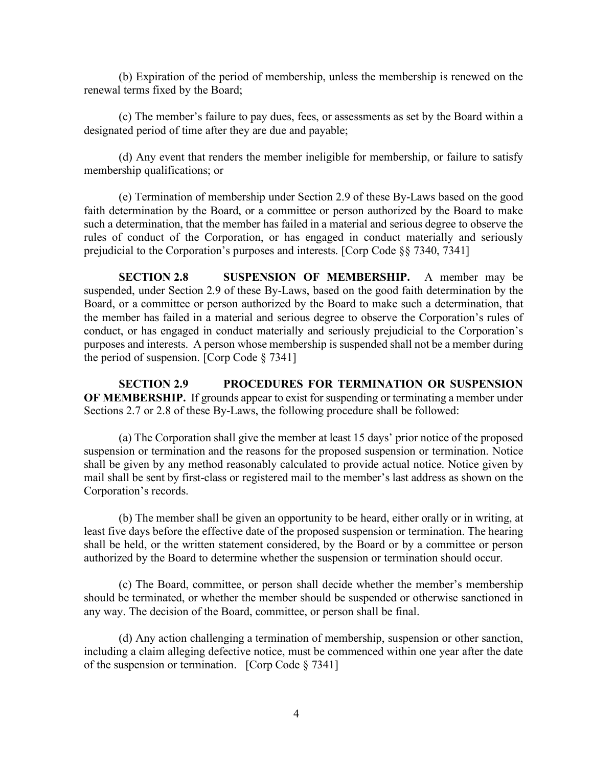(b) Expiration of the period of membership, unless the membership is renewed on the renewal terms fixed by the Board;

(c) The member's failure to pay dues, fees, or assessments as set by the Board within a designated period of time after they are due and payable;

(d) Any event that renders the member ineligible for membership, or failure to satisfy membership qualifications; or

(e) Termination of membership under Section 2.9 of these By-Laws based on the good faith determination by the Board, or a committee or person authorized by the Board to make such a determination, that the member has failed in a material and serious degree to observe the rules of conduct of the Corporation, or has engaged in conduct materially and seriously prejudicial to the Corporation's purposes and interests. [Corp Code §§ 7340, 7341]

**SECTION 2.8 SUSPENSION OF MEMBERSHIP.** A member may be suspended, under Section 2.9 of these By-Laws, based on the good faith determination by the Board, or a committee or person authorized by the Board to make such a determination, that the member has failed in a material and serious degree to observe the Corporation's rules of conduct, or has engaged in conduct materially and seriously prejudicial to the Corporation's purposes and interests. A person whose membership is suspended shall not be a member during the period of suspension. [Corp Code § 7341]

**SECTION 2.9 PROCEDURES FOR TERMINATION OR SUSPENSION OF MEMBERSHIP.** If grounds appear to exist for suspending or terminating a member under Sections 2.7 or 2.8 of these By-Laws, the following procedure shall be followed:

(a) The Corporation shall give the member at least 15 days' prior notice of the proposed suspension or termination and the reasons for the proposed suspension or termination. Notice shall be given by any method reasonably calculated to provide actual notice. Notice given by mail shall be sent by first-class or registered mail to the member's last address as shown on the Corporation's records.

(b) The member shall be given an opportunity to be heard, either orally or in writing, at least five days before the effective date of the proposed suspension or termination. The hearing shall be held, or the written statement considered, by the Board or by a committee or person authorized by the Board to determine whether the suspension or termination should occur.

(c) The Board, committee, or person shall decide whether the member's membership should be terminated, or whether the member should be suspended or otherwise sanctioned in any way. The decision of the Board, committee, or person shall be final.

(d) Any action challenging a termination of membership, suspension or other sanction, including a claim alleging defective notice, must be commenced within one year after the date of the suspension or termination. [Corp Code § 7341]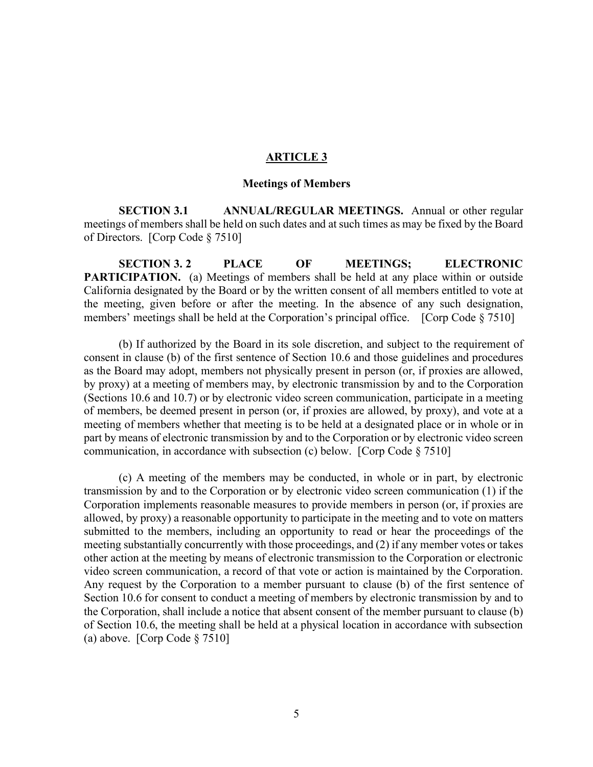### **ARTICLE 3**

### **Meetings of Members**

**SECTION 3.1 ANNUAL/REGULAR MEETINGS.** Annual or other regular meetings of members shall be held on such dates and at such times as may be fixed by the Board of Directors. [Corp Code § 7510]

**SECTION 3. 2 PLACE OF MEETINGS; ELECTRONIC PARTICIPATION.** (a) Meetings of members shall be held at any place within or outside California designated by the Board or by the written consent of all members entitled to vote at the meeting, given before or after the meeting. In the absence of any such designation, members' meetings shall be held at the Corporation's principal office. [Corp Code § 7510]

(b) If authorized by the Board in its sole discretion, and subject to the requirement of consent in clause (b) of the first sentence of Section 10.6 and those guidelines and procedures as the Board may adopt, members not physically present in person (or, if proxies are allowed, by proxy) at a meeting of members may, by electronic transmission by and to the Corporation (Sections 10.6 and 10.7) or by electronic video screen communication, participate in a meeting of members, be deemed present in person (or, if proxies are allowed, by proxy), and vote at a meeting of members whether that meeting is to be held at a designated place or in whole or in part by means of electronic transmission by and to the Corporation or by electronic video screen communication, in accordance with subsection (c) below. [Corp Code § 7510]

(c) A meeting of the members may be conducted, in whole or in part, by electronic transmission by and to the Corporation or by electronic video screen communication (1) if the Corporation implements reasonable measures to provide members in person (or, if proxies are allowed, by proxy) a reasonable opportunity to participate in the meeting and to vote on matters submitted to the members, including an opportunity to read or hear the proceedings of the meeting substantially concurrently with those proceedings, and (2) if any member votes or takes other action at the meeting by means of electronic transmission to the Corporation or electronic video screen communication, a record of that vote or action is maintained by the Corporation. Any request by the Corporation to a member pursuant to clause (b) of the first sentence of Section 10.6 for consent to conduct a meeting of members by electronic transmission by and to the Corporation, shall include a notice that absent consent of the member pursuant to clause (b) of Section 10.6, the meeting shall be held at a physical location in accordance with subsection (a) above. [Corp Code § 7510]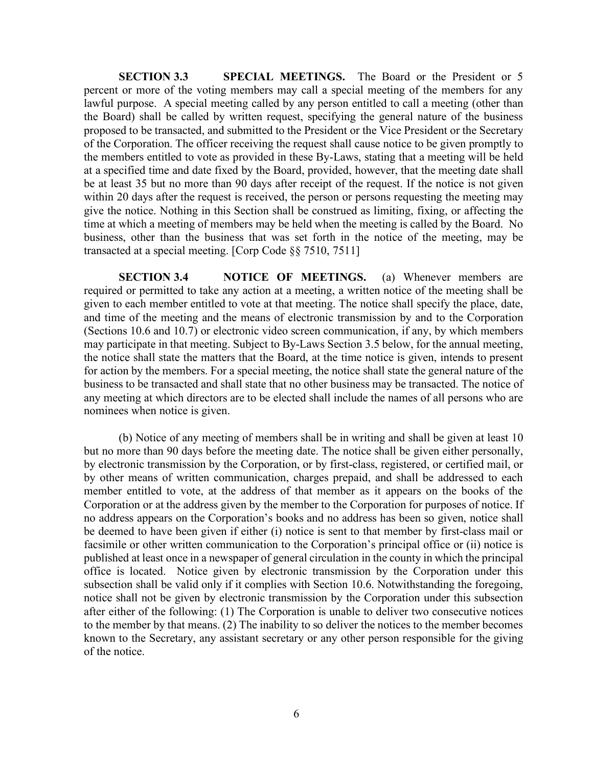**SECTION 3.3 SPECIAL MEETINGS.** The Board or the President or 5 percent or more of the voting members may call a special meeting of the members for any lawful purpose. A special meeting called by any person entitled to call a meeting (other than the Board) shall be called by written request, specifying the general nature of the business proposed to be transacted, and submitted to the President or the Vice President or the Secretary of the Corporation. The officer receiving the request shall cause notice to be given promptly to the members entitled to vote as provided in these By-Laws, stating that a meeting will be held at a specified time and date fixed by the Board, provided, however, that the meeting date shall be at least 35 but no more than 90 days after receipt of the request. If the notice is not given within 20 days after the request is received, the person or persons requesting the meeting may give the notice. Nothing in this Section shall be construed as limiting, fixing, or affecting the time at which a meeting of members may be held when the meeting is called by the Board. No business, other than the business that was set forth in the notice of the meeting, may be transacted at a special meeting. [Corp Code §§ 7510, 7511]

**SECTION 3.4 NOTICE OF MEETINGS.** (a) Whenever members are required or permitted to take any action at a meeting, a written notice of the meeting shall be given to each member entitled to vote at that meeting. The notice shall specify the place, date, and time of the meeting and the means of electronic transmission by and to the Corporation (Sections 10.6 and 10.7) or electronic video screen communication, if any, by which members may participate in that meeting. Subject to By-Laws Section 3.5 below, for the annual meeting, the notice shall state the matters that the Board, at the time notice is given, intends to present for action by the members. For a special meeting, the notice shall state the general nature of the business to be transacted and shall state that no other business may be transacted. The notice of any meeting at which directors are to be elected shall include the names of all persons who are nominees when notice is given.

(b) Notice of any meeting of members shall be in writing and shall be given at least 10 but no more than 90 days before the meeting date. The notice shall be given either personally, by electronic transmission by the Corporation, or by first-class, registered, or certified mail, or by other means of written communication, charges prepaid, and shall be addressed to each member entitled to vote, at the address of that member as it appears on the books of the Corporation or at the address given by the member to the Corporation for purposes of notice. If no address appears on the Corporation's books and no address has been so given, notice shall be deemed to have been given if either (i) notice is sent to that member by first-class mail or facsimile or other written communication to the Corporation's principal office or (ii) notice is published at least once in a newspaper of general circulation in the county in which the principal office is located. Notice given by electronic transmission by the Corporation under this subsection shall be valid only if it complies with Section 10.6. Notwithstanding the foregoing, notice shall not be given by electronic transmission by the Corporation under this subsection after either of the following: (1) The Corporation is unable to deliver two consecutive notices to the member by that means. (2) The inability to so deliver the notices to the member becomes known to the Secretary, any assistant secretary or any other person responsible for the giving of the notice.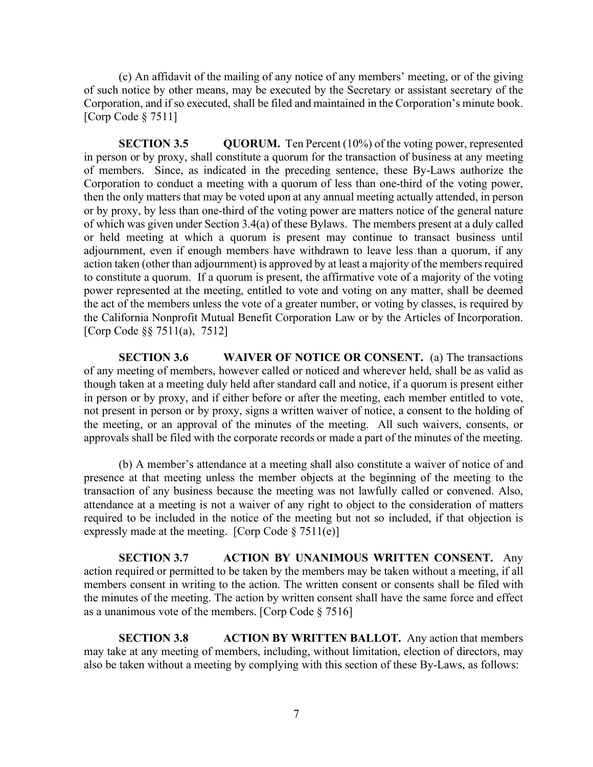(c) An affidavit of the mailing of any notice of any members' meeting, or of the giving of such notice by other means, may be executed by the Secretary or assistant secretary of the Corporation, and if so executed, shall be filed and maintained in the Corporation's minute book. [Corp Code § 7511]

**SECTION 3.5 QUORUM.** Ten Percent (10%) of the voting power, represented in person or by proxy, shall constitute a quorum for the transaction of business at any meeting of members. Since, as indicated in the preceding sentence, these By-Laws authorize the Corporation to conduct a meeting with a quorum of less than one-third of the voting power, then the only matters that may be voted upon at any annual meeting actually attended, in person or by proxy, by less than one-third of the voting power are matters notice of the general nature of which was given under Section 3.4(a) of these Bylaws. The members present at a duly called or held meeting at which a quorum is present may continue to transact business until adjournment, even if enough members have withdrawn to leave less than a quorum, if any action taken (other than adjournment) is approved by at least a majority of the members required to constitute a quorum. If a quorum is present, the affirmative vote of a majority of the voting power represented at the meeting, entitled to vote and voting on any matter, shall be deemed the act of the members unless the vote of a greater number, or voting by classes, is required by the California Nonprofit Mutual Benefit Corporation Law or by the Articles of Incorporation. [Corp Code §§ 7511(a), 7512]

**SECTION 3.6 WAIVER OF NOTICE OR CONSENT.** (a) The transactions of any meeting of members, however called or noticed and wherever held, shall be as valid as though taken at a meeting duly held after standard call and notice, if a quorum is present either in person or by proxy, and if either before or after the meeting, each member entitled to vote, not present in person or by proxy, signs a written waiver of notice, a consent to the holding of the meeting, or an approval of the minutes of the meeting. All such waivers, consents, or approvals shall be filed with the corporate records or made a part of the minutes of the meeting.

(b) A member's attendance at a meeting shall also constitute a waiver of notice of and presence at that meeting unless the member objects at the beginning of the meeting to the transaction of any business because the meeting was not lawfully called or convened. Also, attendance at a meeting is not a waiver of any right to object to the consideration of matters required to be included in the notice of the meeting but not so included, if that objection is expressly made at the meeting. [Corp Code  $\S 7511(e)$ ]

**SECTION 3.7 ACTION BY UNANIMOUS WRITTEN CONSENT.** Any action required or permitted to be taken by the members may be taken without a meeting, if all members consent in writing to the action. The written consent or consents shall be filed with the minutes of the meeting. The action by written consent shall have the same force and effect as a unanimous vote of the members. [Corp Code § 7516]

**SECTION 3.8 ACTION BY WRITTEN BALLOT.** Any action that members may take at any meeting of members, including, without limitation, election of directors, may also be taken without a meeting by complying with this section of these By-Laws, as follows: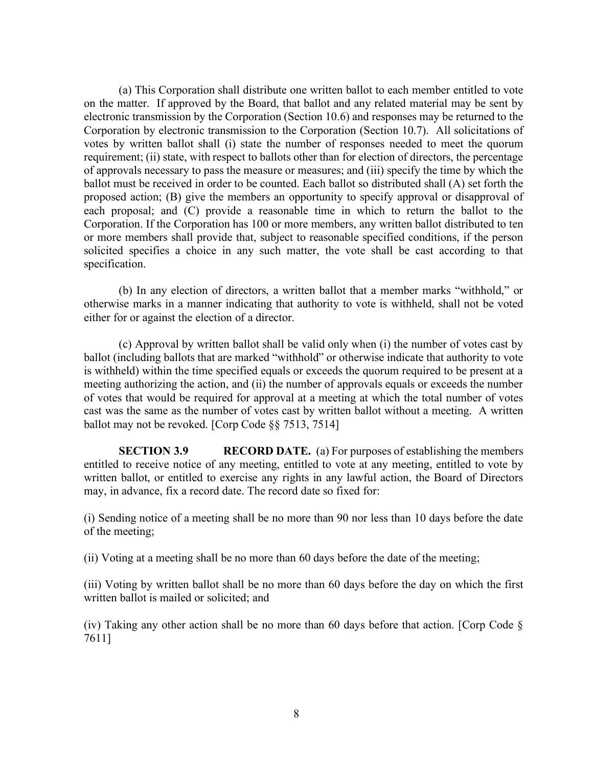(a) This Corporation shall distribute one written ballot to each member entitled to vote on the matter. If approved by the Board, that ballot and any related material may be sent by electronic transmission by the Corporation (Section 10.6) and responses may be returned to the Corporation by electronic transmission to the Corporation (Section 10.7). All solicitations of votes by written ballot shall (i) state the number of responses needed to meet the quorum requirement; (ii) state, with respect to ballots other than for election of directors, the percentage of approvals necessary to pass the measure or measures; and (iii) specify the time by which the ballot must be received in order to be counted. Each ballot so distributed shall (A) set forth the proposed action; (B) give the members an opportunity to specify approval or disapproval of each proposal; and (C) provide a reasonable time in which to return the ballot to the Corporation. If the Corporation has 100 or more members, any written ballot distributed to ten or more members shall provide that, subject to reasonable specified conditions, if the person solicited specifies a choice in any such matter, the vote shall be cast according to that specification.

(b) In any election of directors, a written ballot that a member marks "withhold," or otherwise marks in a manner indicating that authority to vote is withheld, shall not be voted either for or against the election of a director.

(c) Approval by written ballot shall be valid only when (i) the number of votes cast by ballot (including ballots that are marked "withhold" or otherwise indicate that authority to vote is withheld) within the time specified equals or exceeds the quorum required to be present at a meeting authorizing the action, and (ii) the number of approvals equals or exceeds the number of votes that would be required for approval at a meeting at which the total number of votes cast was the same as the number of votes cast by written ballot without a meeting. A written ballot may not be revoked. [Corp Code §§ 7513, 7514]

**SECTION 3.9 RECORD DATE.** (a) For purposes of establishing the members entitled to receive notice of any meeting, entitled to vote at any meeting, entitled to vote by written ballot, or entitled to exercise any rights in any lawful action, the Board of Directors may, in advance, fix a record date. The record date so fixed for:

(i) Sending notice of a meeting shall be no more than 90 nor less than 10 days before the date of the meeting;

(ii) Voting at a meeting shall be no more than 60 days before the date of the meeting;

(iii) Voting by written ballot shall be no more than 60 days before the day on which the first written ballot is mailed or solicited; and

(iv) Taking any other action shall be no more than 60 days before that action. [Corp Code  $\delta$ 7611]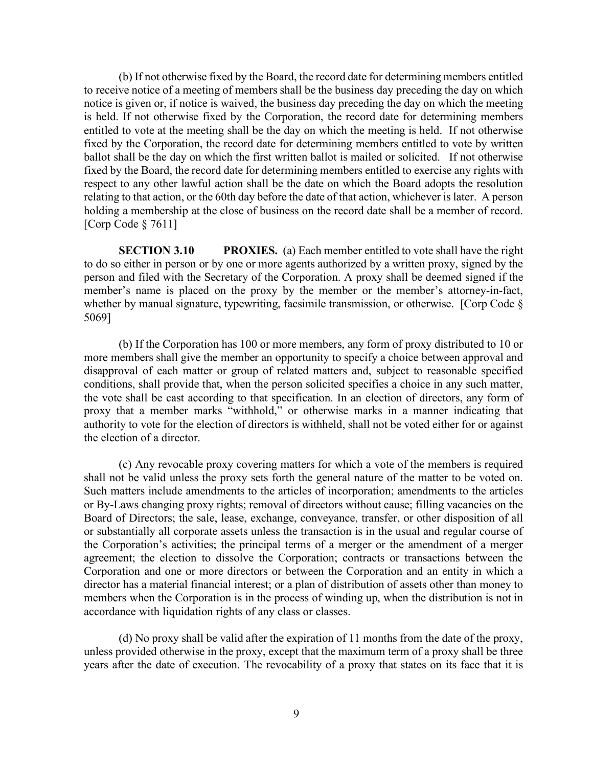(b) If not otherwise fixed by the Board, the record date for determining members entitled to receive notice of a meeting of members shall be the business day preceding the day on which notice is given or, if notice is waived, the business day preceding the day on which the meeting is held. If not otherwise fixed by the Corporation, the record date for determining members entitled to vote at the meeting shall be the day on which the meeting is held. If not otherwise fixed by the Corporation, the record date for determining members entitled to vote by written ballot shall be the day on which the first written ballot is mailed or solicited. If not otherwise fixed by the Board, the record date for determining members entitled to exercise any rights with respect to any other lawful action shall be the date on which the Board adopts the resolution relating to that action, or the 60th day before the date of that action, whichever is later.A person holding a membership at the close of business on the record date shall be a member of record. [Corp Code § 7611]

**SECTION 3.10 PROXIES.** (a) Each member entitled to vote shall have the right to do so either in person or by one or more agents authorized by a written proxy, signed by the person and filed with the Secretary of the Corporation. A proxy shall be deemed signed if the member's name is placed on the proxy by the member or the member's attorney-in-fact, whether by manual signature, typewriting, facsimile transmission, or otherwise. [Corp Code § 5069]

(b) If the Corporation has 100 or more members, any form of proxy distributed to 10 or more members shall give the member an opportunity to specify a choice between approval and disapproval of each matter or group of related matters and, subject to reasonable specified conditions, shall provide that, when the person solicited specifies a choice in any such matter, the vote shall be cast according to that specification. In an election of directors, any form of proxy that a member marks "withhold," or otherwise marks in a manner indicating that authority to vote for the election of directors is withheld, shall not be voted either for or against the election of a director.

(c) Any revocable proxy covering matters for which a vote of the members is required shall not be valid unless the proxy sets forth the general nature of the matter to be voted on. Such matters include amendments to the articles of incorporation; amendments to the articles or By-Laws changing proxy rights; removal of directors without cause; filling vacancies on the Board of Directors; the sale, lease, exchange, conveyance, transfer, or other disposition of all or substantially all corporate assets unless the transaction is in the usual and regular course of the Corporation's activities; the principal terms of a merger or the amendment of a merger agreement; the election to dissolve the Corporation; contracts or transactions between the Corporation and one or more directors or between the Corporation and an entity in which a director has a material financial interest; or a plan of distribution of assets other than money to members when the Corporation is in the process of winding up, when the distribution is not in accordance with liquidation rights of any class or classes.

(d) No proxy shall be valid after the expiration of 11 months from the date of the proxy, unless provided otherwise in the proxy, except that the maximum term of a proxy shall be three years after the date of execution. The revocability of a proxy that states on its face that it is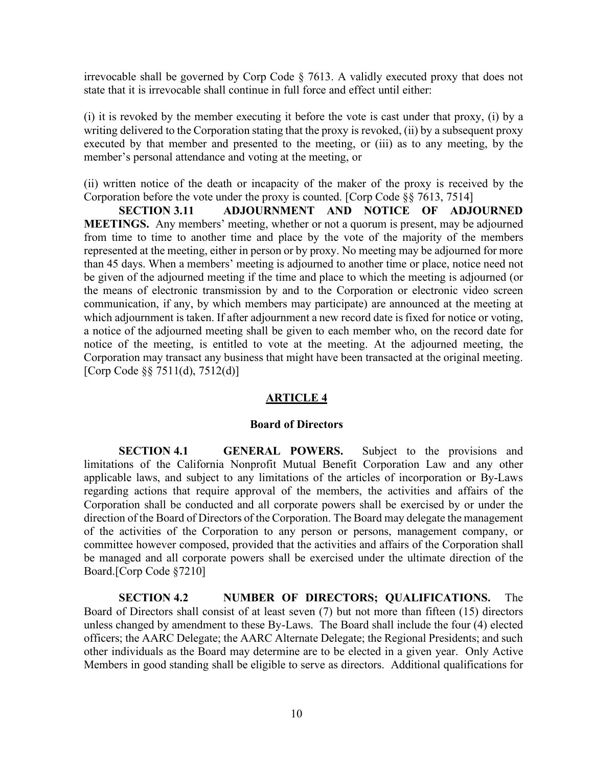irrevocable shall be governed by Corp Code § 7613. A validly executed proxy that does not state that it is irrevocable shall continue in full force and effect until either:

(i) it is revoked by the member executing it before the vote is cast under that proxy, (i) by a writing delivered to the Corporation stating that the proxy is revoked, (ii) by a subsequent proxy executed by that member and presented to the meeting, or (iii) as to any meeting, by the member's personal attendance and voting at the meeting, or

(ii) written notice of the death or incapacity of the maker of the proxy is received by the Corporation before the vote under the proxy is counted. [Corp Code §§ 7613, 7514]

 **SECTION 3.11 ADJOURNMENT AND NOTICE OF ADJOURNED MEETINGS.** Any members' meeting, whether or not a quorum is present, may be adjourned from time to time to another time and place by the vote of the majority of the members represented at the meeting, either in person or by proxy. No meeting may be adjourned for more than 45 days. When a members' meeting is adjourned to another time or place, notice need not be given of the adjourned meeting if the time and place to which the meeting is adjourned (or the means of electronic transmission by and to the Corporation or electronic video screen communication, if any, by which members may participate) are announced at the meeting at which adjournment is taken. If after adjournment a new record date is fixed for notice or voting, a notice of the adjourned meeting shall be given to each member who, on the record date for notice of the meeting, is entitled to vote at the meeting. At the adjourned meeting, the Corporation may transact any business that might have been transacted at the original meeting. [Corp Code §§ 7511(d), 7512(d)]

# **ARTICLE 4**

# **Board of Directors**

**SECTION 4.1 GENERAL POWERS.** Subject to the provisions and limitations of the California Nonprofit Mutual Benefit Corporation Law and any other applicable laws, and subject to any limitations of the articles of incorporation or By-Laws regarding actions that require approval of the members, the activities and affairs of the Corporation shall be conducted and all corporate powers shall be exercised by or under the direction of the Board of Directors of the Corporation. The Board may delegate the management of the activities of the Corporation to any person or persons, management company, or committee however composed, provided that the activities and affairs of the Corporation shall be managed and all corporate powers shall be exercised under the ultimate direction of the Board.[Corp Code §7210]

**SECTION 4.2 NUMBER OF DIRECTORS; QUALIFICATIONS.** The Board of Directors shall consist of at least seven (7) but not more than fifteen (15) directors unless changed by amendment to these By-Laws. The Board shall include the four (4) elected officers; the AARC Delegate; the AARC Alternate Delegate; the Regional Presidents; and such other individuals as the Board may determine are to be elected in a given year. Only Active Members in good standing shall be eligible to serve as directors. Additional qualifications for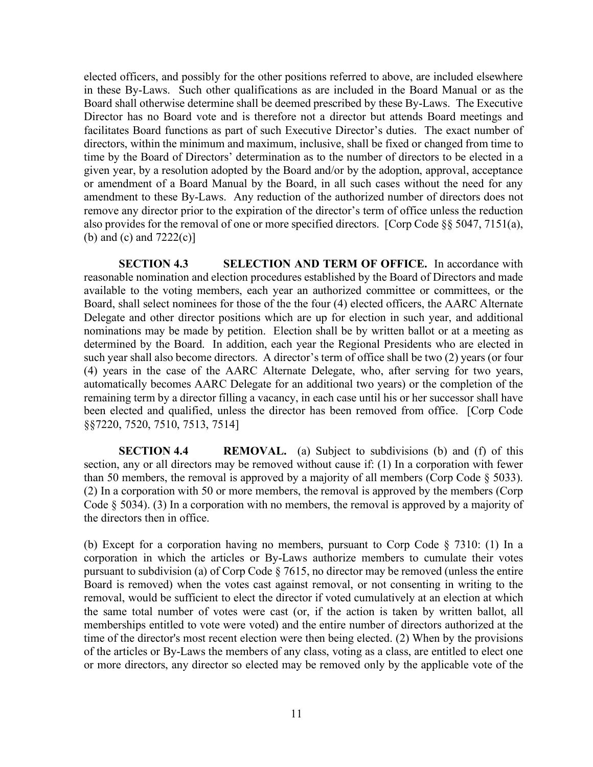elected officers, and possibly for the other positions referred to above, are included elsewhere in these By-Laws. Such other qualifications as are included in the Board Manual or as the Board shall otherwise determine shall be deemed prescribed by these By-Laws. The Executive Director has no Board vote and is therefore not a director but attends Board meetings and facilitates Board functions as part of such Executive Director's duties. The exact number of directors, within the minimum and maximum, inclusive, shall be fixed or changed from time to time by the Board of Directors' determination as to the number of directors to be elected in a given year, by a resolution adopted by the Board and/or by the adoption, approval, acceptance or amendment of a Board Manual by the Board, in all such cases without the need for any amendment to these By-Laws. Any reduction of the authorized number of directors does not remove any director prior to the expiration of the director's term of office unless the reduction also provides for the removal of one or more specified directors. [Corp Code §§ 5047, 7151(a), (b) and (c) and  $7222(c)$ ]

**SECTION 4.3 SELECTION AND TERM OF OFFICE.** In accordance with reasonable nomination and election procedures established by the Board of Directors and made available to the voting members, each year an authorized committee or committees, or the Board, shall select nominees for those of the the four (4) elected officers, the AARC Alternate Delegate and other director positions which are up for election in such year, and additional nominations may be made by petition. Election shall be by written ballot or at a meeting as determined by the Board. In addition, each year the Regional Presidents who are elected in such year shall also become directors. A director's term of office shall be two (2) years (or four (4) years in the case of the AARC Alternate Delegate, who, after serving for two years, automatically becomes AARC Delegate for an additional two years) or the completion of the remaining term by a director filling a vacancy, in each case until his or her successor shall have been elected and qualified, unless the director has been removed from office. [Corp Code §§7220, 7520, 7510, 7513, 7514]

**SECTION 4.4 REMOVAL.** (a) Subject to subdivisions (b) and (f) of this section, any or all directors may be removed without cause if: (1) In a corporation with fewer than 50 members, the removal is approved by a majority of all members (Corp Code  $\S$  5033). (2) In a corporation with 50 or more members, the removal is approved by the members (Corp Code § 5034). (3) In a corporation with no members, the removal is approved by a majority of the directors then in office.

(b) Except for a corporation having no members, pursuant to Corp Code § 7310: (1) In a corporation in which the articles or By-Laws authorize members to cumulate their votes pursuant to subdivision (a) of Corp Code § 7615, no director may be removed (unless the entire Board is removed) when the votes cast against removal, or not consenting in writing to the removal, would be sufficient to elect the director if voted cumulatively at an election at which the same total number of votes were cast (or, if the action is taken by written ballot, all memberships entitled to vote were voted) and the entire number of directors authorized at the time of the director's most recent election were then being elected. (2) When by the provisions of the articles or By-Laws the members of any class, voting as a class, are entitled to elect one or more directors, any director so elected may be removed only by the applicable vote of the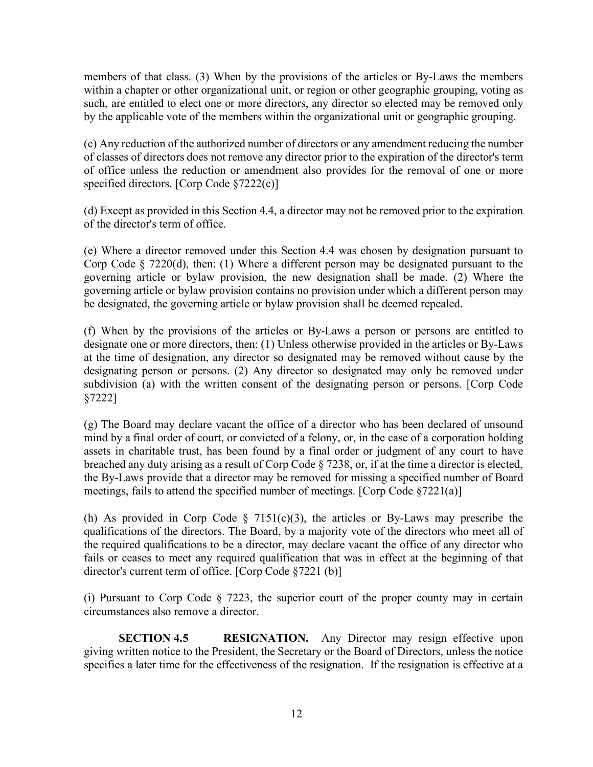members of that class. (3) When by the provisions of the articles or By-Laws the members within a chapter or other organizational unit, or region or other geographic grouping, voting as such, are entitled to elect one or more directors, any director so elected may be removed only by the applicable vote of the members within the organizational unit or geographic grouping.

(c) Any reduction of the authorized number of directors or any amendment reducing the number of classes of directors does not remove any director prior to the expiration of the director's term of office unless the reduction or amendment also provides for the removal of one or more specified directors. [Corp Code §7222(c)]

(d) Except as provided in this Section 4.4, a director may not be removed prior to the expiration of the director's term of office.

(e) Where a director removed under this Section 4.4 was chosen by designation pursuant to Corp Code § 7220(d), then: (1) Where a different person may be designated pursuant to the governing article or bylaw provision, the new designation shall be made. (2) Where the governing article or bylaw provision contains no provision under which a different person may be designated, the governing article or bylaw provision shall be deemed repealed.

(f) When by the provisions of the articles or By-Laws a person or persons are entitled to designate one or more directors, then: (1) Unless otherwise provided in the articles or By-Laws at the time of designation, any director so designated may be removed without cause by the designating person or persons. (2) Any director so designated may only be removed under subdivision (a) with the written consent of the designating person or persons. [Corp Code §7222]

(g) The Board may declare vacant the office of a director who has been declared of unsound mind by a final order of court, or convicted of a felony, or, in the case of a corporation holding assets in charitable trust, has been found by a final order or judgment of any court to have breached any duty arising as a result of Corp Code § 7238, or, if at the time a director is elected, the By-Laws provide that a director may be removed for missing a specified number of Board meetings, fails to attend the specified number of meetings. [Corp Code §7221(a)]

(h) As provided in Corp Code  $\S$  7151(c)(3), the articles or By-Laws may prescribe the qualifications of the directors. The Board, by a majority vote of the directors who meet all of the required qualifications to be a director, may declare vacant the office of any director who fails or ceases to meet any required qualification that was in effect at the beginning of that director's current term of office. [Corp Code §7221 (b)]

(i) Pursuant to Corp Code § 7223, the superior court of the proper county may in certain circumstances also remove a director.

**SECTION 4.5 RESIGNATION.** Any Director may resign effective upon giving written notice to the President, the Secretary or the Board of Directors, unless the notice specifies a later time for the effectiveness of the resignation. If the resignation is effective at a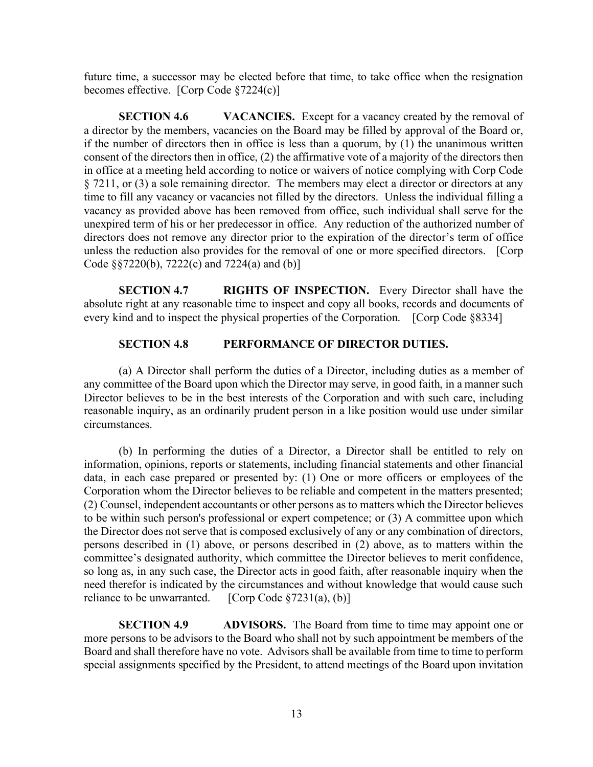future time, a successor may be elected before that time, to take office when the resignation becomes effective. [Corp Code §7224(c)]

**SECTION 4.6 VACANCIES.** Except for a vacancy created by the removal of a director by the members, vacancies on the Board may be filled by approval of the Board or, if the number of directors then in office is less than a quorum, by (1) the unanimous written consent of the directors then in office, (2) the affirmative vote of a majority of the directors then in office at a meeting held according to notice or waivers of notice complying with Corp Code § 7211, or (3) a sole remaining director. The members may elect a director or directors at any time to fill any vacancy or vacancies not filled by the directors. Unless the individual filling a vacancy as provided above has been removed from office, such individual shall serve for the unexpired term of his or her predecessor in office. Any reduction of the authorized number of directors does not remove any director prior to the expiration of the director's term of office unless the reduction also provides for the removal of one or more specified directors. [Corp Code §§7220(b), 7222(c) and 7224(a) and (b)]

**SECTION 4.7 RIGHTS OF INSPECTION.** Every Director shall have the absolute right at any reasonable time to inspect and copy all books, records and documents of every kind and to inspect the physical properties of the Corporation. [Corp Code §8334]

# **SECTION 4.8 PERFORMANCE OF DIRECTOR DUTIES.**

(a) A Director shall perform the duties of a Director, including duties as a member of any committee of the Board upon which the Director may serve, in good faith, in a manner such Director believes to be in the best interests of the Corporation and with such care, including reasonable inquiry, as an ordinarily prudent person in a like position would use under similar circumstances.

(b) In performing the duties of a Director, a Director shall be entitled to rely on information, opinions, reports or statements, including financial statements and other financial data, in each case prepared or presented by: (1) One or more officers or employees of the Corporation whom the Director believes to be reliable and competent in the matters presented; (2) Counsel, independent accountants or other persons as to matters which the Director believes to be within such person's professional or expert competence; or (3) A committee upon which the Director does not serve that is composed exclusively of any or any combination of directors, persons described in (1) above, or persons described in (2) above, as to matters within the committee's designated authority, which committee the Director believes to merit confidence, so long as, in any such case, the Director acts in good faith, after reasonable inquiry when the need therefor is indicated by the circumstances and without knowledge that would cause such reliance to be unwarranted.  $[Corp Code §7231(a), (b)]$ 

**SECTION 4.9 ADVISORS.** The Board from time to time may appoint one or more persons to be advisors to the Board who shall not by such appointment be members of the Board and shall therefore have no vote. Advisors shall be available from time to time to perform special assignments specified by the President, to attend meetings of the Board upon invitation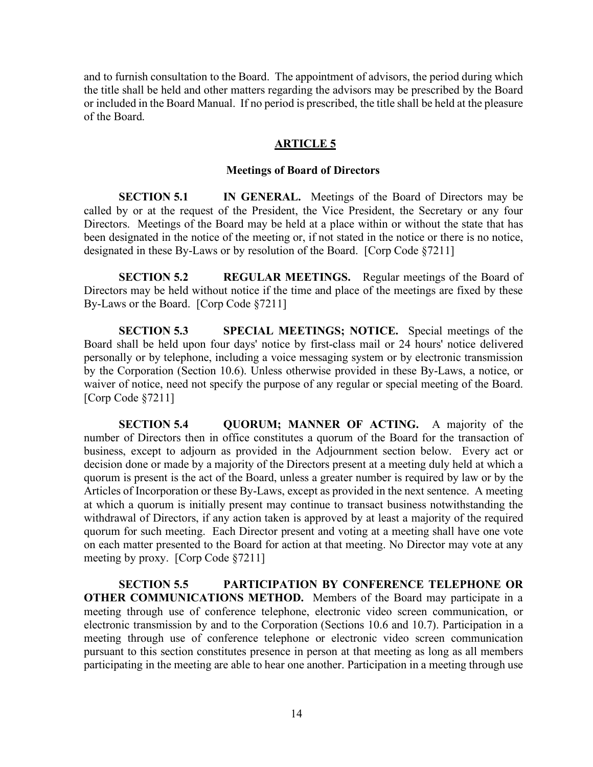and to furnish consultation to the Board. The appointment of advisors, the period during which the title shall be held and other matters regarding the advisors may be prescribed by the Board or included in the Board Manual. If no period is prescribed, the title shall be held at the pleasure of the Board.

## **ARTICLE 5**

#### **Meetings of Board of Directors**

**SECTION 5.1 IN GENERAL.** Meetings of the Board of Directors may be called by or at the request of the President, the Vice President, the Secretary or any four Directors. Meetings of the Board may be held at a place within or without the state that has been designated in the notice of the meeting or, if not stated in the notice or there is no notice, designated in these By-Laws or by resolution of the Board. [Corp Code §7211]

**SECTION 5.2 REGULAR MEETINGS.** Regular meetings of the Board of Directors may be held without notice if the time and place of the meetings are fixed by these By-Laws or the Board. [Corp Code §7211]

**SECTION 5.3 SPECIAL MEETINGS; NOTICE.** Special meetings of the Board shall be held upon four days' notice by first-class mail or 24 hours' notice delivered personally or by telephone, including a voice messaging system or by electronic transmission by the Corporation (Section 10.6). Unless otherwise provided in these By-Laws, a notice, or waiver of notice, need not specify the purpose of any regular or special meeting of the Board. [Corp Code §7211]

**SECTION 5.4 QUORUM; MANNER OF ACTING.** A majority of the number of Directors then in office constitutes a quorum of the Board for the transaction of business, except to adjourn as provided in the Adjournment section below. Every act or decision done or made by a majority of the Directors present at a meeting duly held at which a quorum is present is the act of the Board, unless a greater number is required by law or by the Articles of Incorporation or these By-Laws, except as provided in the next sentence. A meeting at which a quorum is initially present may continue to transact business notwithstanding the withdrawal of Directors, if any action taken is approved by at least a majority of the required quorum for such meeting. Each Director present and voting at a meeting shall have one vote on each matter presented to the Board for action at that meeting. No Director may vote at any meeting by proxy. [Corp Code §7211]

**SECTION 5.5 PARTICIPATION BY CONFERENCE TELEPHONE OR OTHER COMMUNICATIONS METHOD.** Members of the Board may participate in a meeting through use of conference telephone, electronic video screen communication, or electronic transmission by and to the Corporation (Sections 10.6 and 10.7). Participation in a meeting through use of conference telephone or electronic video screen communication pursuant to this section constitutes presence in person at that meeting as long as all members participating in the meeting are able to hear one another. Participation in a meeting through use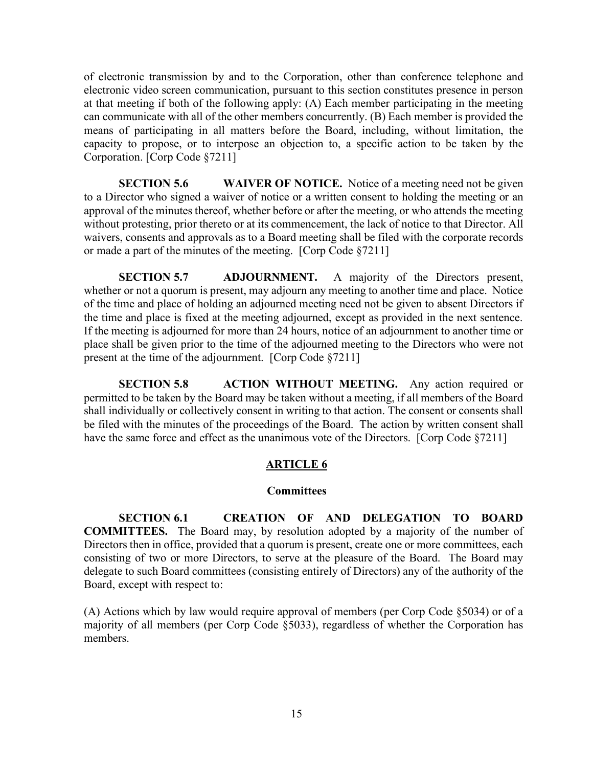of electronic transmission by and to the Corporation, other than conference telephone and electronic video screen communication, pursuant to this section constitutes presence in person at that meeting if both of the following apply: (A) Each member participating in the meeting can communicate with all of the other members concurrently. (B) Each member is provided the means of participating in all matters before the Board, including, without limitation, the capacity to propose, or to interpose an objection to, a specific action to be taken by the Corporation. [Corp Code §7211]

**SECTION 5.6 WAIVER OF NOTICE.** Notice of a meeting need not be given to a Director who signed a waiver of notice or a written consent to holding the meeting or an approval of the minutes thereof, whether before or after the meeting, or who attends the meeting without protesting, prior thereto or at its commencement, the lack of notice to that Director. All waivers, consents and approvals as to a Board meeting shall be filed with the corporate records or made a part of the minutes of the meeting. [Corp Code §7211]

**SECTION 5.7 ADJOURNMENT.** A majority of the Directors present, whether or not a quorum is present, may adjourn any meeting to another time and place. Notice of the time and place of holding an adjourned meeting need not be given to absent Directors if the time and place is fixed at the meeting adjourned, except as provided in the next sentence. If the meeting is adjourned for more than 24 hours, notice of an adjournment to another time or place shall be given prior to the time of the adjourned meeting to the Directors who were not present at the time of the adjournment. [Corp Code §7211]

**SECTION 5.8 ACTION WITHOUT MEETING.** Any action required or permitted to be taken by the Board may be taken without a meeting, if all members of the Board shall individually or collectively consent in writing to that action. The consent or consents shall be filed with the minutes of the proceedings of the Board. The action by written consent shall have the same force and effect as the unanimous vote of the Directors. [Corp Code §7211]

# **ARTICLE 6**

### **Committees**

**SECTION 6.1 CREATION OF AND DELEGATION TO BOARD COMMITTEES.** The Board may, by resolution adopted by a majority of the number of Directors then in office, provided that a quorum is present, create one or more committees, each consisting of two or more Directors, to serve at the pleasure of the Board. The Board may delegate to such Board committees (consisting entirely of Directors) any of the authority of the Board, except with respect to:

(A) Actions which by law would require approval of members (per Corp Code §5034) or of a majority of all members (per Corp Code §5033), regardless of whether the Corporation has members.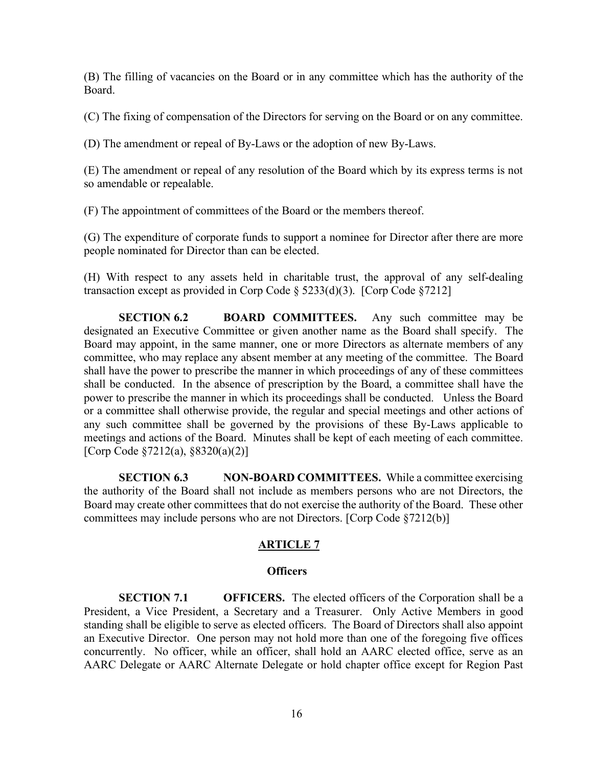(B) The filling of vacancies on the Board or in any committee which has the authority of the Board.

(C) The fixing of compensation of the Directors for serving on the Board or on any committee.

(D) The amendment or repeal of By-Laws or the adoption of new By-Laws.

(E) The amendment or repeal of any resolution of the Board which by its express terms is not so amendable or repealable.

(F) The appointment of committees of the Board or the members thereof.

(G) The expenditure of corporate funds to support a nominee for Director after there are more people nominated for Director than can be elected.

(H) With respect to any assets held in charitable trust, the approval of any self-dealing transaction except as provided in Corp Code § 5233(d)(3). [Corp Code §7212]

**SECTION 6.2 BOARD COMMITTEES.** Any such committee may be designated an Executive Committee or given another name as the Board shall specify. The Board may appoint, in the same manner, one or more Directors as alternate members of any committee, who may replace any absent member at any meeting of the committee. The Board shall have the power to prescribe the manner in which proceedings of any of these committees shall be conducted. In the absence of prescription by the Board, a committee shall have the power to prescribe the manner in which its proceedings shall be conducted. Unless the Board or a committee shall otherwise provide, the regular and special meetings and other actions of any such committee shall be governed by the provisions of these By-Laws applicable to meetings and actions of the Board. Minutes shall be kept of each meeting of each committee. [Corp Code §7212(a), §8320(a)(2)]

**SECTION 6.3 NON-BOARD COMMITTEES.** While a committee exercising the authority of the Board shall not include as members persons who are not Directors, the Board may create other committees that do not exercise the authority of the Board. These other committees may include persons who are not Directors. [Corp Code §7212(b)]

# **ARTICLE 7**

### **Officers**

**SECTION 7.1 OFFICERS.** The elected officers of the Corporation shall be a President, a Vice President, a Secretary and a Treasurer. Only Active Members in good standing shall be eligible to serve as elected officers. The Board of Directors shall also appoint an Executive Director. One person may not hold more than one of the foregoing five offices concurrently. No officer, while an officer, shall hold an AARC elected office, serve as an AARC Delegate or AARC Alternate Delegate or hold chapter office except for Region Past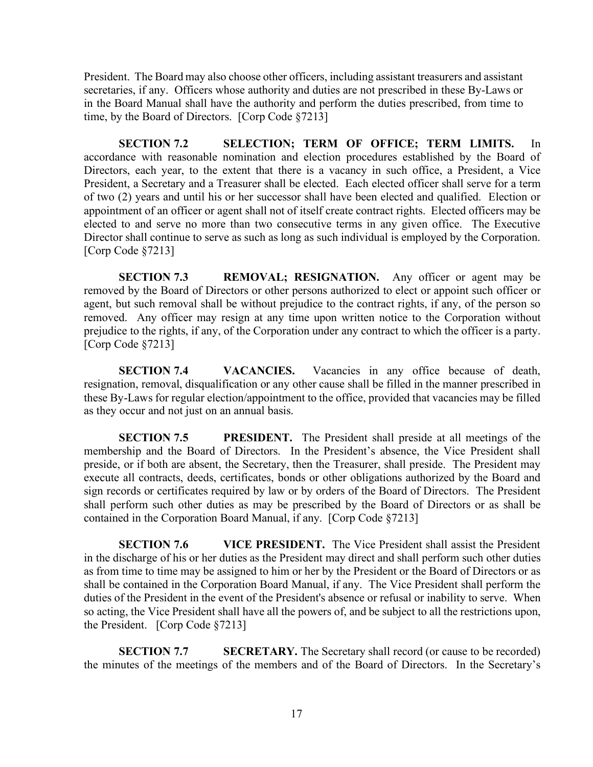President. The Board may also choose other officers, including assistant treasurers and assistant secretaries, if any. Officers whose authority and duties are not prescribed in these By-Laws or in the Board Manual shall have the authority and perform the duties prescribed, from time to time, by the Board of Directors. [Corp Code §7213]

**SECTION 7.2 SELECTION; TERM OF OFFICE; TERM LIMITS.** In accordance with reasonable nomination and election procedures established by the Board of Directors, each year, to the extent that there is a vacancy in such office, a President, a Vice President, a Secretary and a Treasurer shall be elected. Each elected officer shall serve for a term of two (2) years and until his or her successor shall have been elected and qualified. Election or appointment of an officer or agent shall not of itself create contract rights. Elected officers may be elected to and serve no more than two consecutive terms in any given office. The Executive Director shall continue to serve as such as long as such individual is employed by the Corporation. [Corp Code §7213]

**SECTION 7.3 REMOVAL; RESIGNATION.** Any officer or agent may be removed by the Board of Directors or other persons authorized to elect or appoint such officer or agent, but such removal shall be without prejudice to the contract rights, if any, of the person so removed. Any officer may resign at any time upon written notice to the Corporation without prejudice to the rights, if any, of the Corporation under any contract to which the officer is a party. [Corp Code §7213]

**SECTION 7.4 VACANCIES.** Vacancies in any office because of death, resignation, removal, disqualification or any other cause shall be filled in the manner prescribed in these By-Laws for regular election/appointment to the office, provided that vacancies may be filled as they occur and not just on an annual basis.

**SECTION 7.5 PRESIDENT.** The President shall preside at all meetings of the membership and the Board of Directors. In the President's absence, the Vice President shall preside, or if both are absent, the Secretary, then the Treasurer, shall preside. The President may execute all contracts, deeds, certificates, bonds or other obligations authorized by the Board and sign records or certificates required by law or by orders of the Board of Directors. The President shall perform such other duties as may be prescribed by the Board of Directors or as shall be contained in the Corporation Board Manual, if any. [Corp Code §7213]

**SECTION 7.6 VICE PRESIDENT.** The Vice President shall assist the President in the discharge of his or her duties as the President may direct and shall perform such other duties as from time to time may be assigned to him or her by the President or the Board of Directors or as shall be contained in the Corporation Board Manual, if any. The Vice President shall perform the duties of the President in the event of the President's absence or refusal or inability to serve. When so acting, the Vice President shall have all the powers of, and be subject to all the restrictions upon, the President. [Corp Code §7213]

**SECTION 7.7 SECRETARY.** The Secretary shall record (or cause to be recorded) the minutes of the meetings of the members and of the Board of Directors. In the Secretary's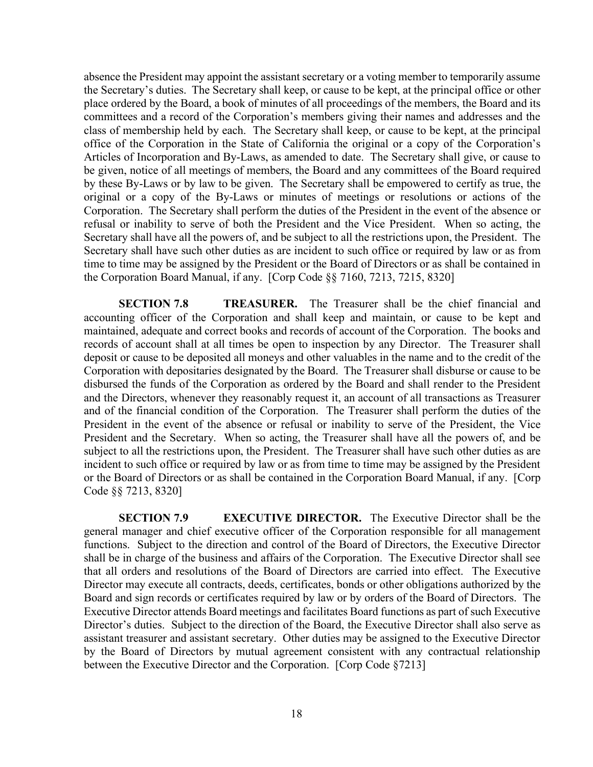absence the President may appoint the assistant secretary or a voting member to temporarily assume the Secretary's duties. The Secretary shall keep, or cause to be kept, at the principal office or other place ordered by the Board, a book of minutes of all proceedings of the members, the Board and its committees and a record of the Corporation's members giving their names and addresses and the class of membership held by each. The Secretary shall keep, or cause to be kept, at the principal office of the Corporation in the State of California the original or a copy of the Corporation's Articles of Incorporation and By-Laws, as amended to date. The Secretary shall give, or cause to be given, notice of all meetings of members, the Board and any committees of the Board required by these By-Laws or by law to be given. The Secretary shall be empowered to certify as true, the original or a copy of the By-Laws or minutes of meetings or resolutions or actions of the Corporation. The Secretary shall perform the duties of the President in the event of the absence or refusal or inability to serve of both the President and the Vice President. When so acting, the Secretary shall have all the powers of, and be subject to all the restrictions upon, the President. The Secretary shall have such other duties as are incident to such office or required by law or as from time to time may be assigned by the President or the Board of Directors or as shall be contained in the Corporation Board Manual, if any. [Corp Code §§ 7160, 7213, 7215, 8320]

**SECTION 7.8 TREASURER.** The Treasurer shall be the chief financial and accounting officer of the Corporation and shall keep and maintain, or cause to be kept and maintained, adequate and correct books and records of account of the Corporation. The books and records of account shall at all times be open to inspection by any Director. The Treasurer shall deposit or cause to be deposited all moneys and other valuables in the name and to the credit of the Corporation with depositaries designated by the Board. The Treasurer shall disburse or cause to be disbursed the funds of the Corporation as ordered by the Board and shall render to the President and the Directors, whenever they reasonably request it, an account of all transactions as Treasurer and of the financial condition of the Corporation. The Treasurer shall perform the duties of the President in the event of the absence or refusal or inability to serve of the President, the Vice President and the Secretary. When so acting, the Treasurer shall have all the powers of, and be subject to all the restrictions upon, the President. The Treasurer shall have such other duties as are incident to such office or required by law or as from time to time may be assigned by the President or the Board of Directors or as shall be contained in the Corporation Board Manual, if any. [Corp Code §§ 7213, 8320]

**SECTION 7.9 EXECUTIVE DIRECTOR.** The Executive Director shall be the general manager and chief executive officer of the Corporation responsible for all management functions. Subject to the direction and control of the Board of Directors, the Executive Director shall be in charge of the business and affairs of the Corporation. The Executive Director shall see that all orders and resolutions of the Board of Directors are carried into effect. The Executive Director may execute all contracts, deeds, certificates, bonds or other obligations authorized by the Board and sign records or certificates required by law or by orders of the Board of Directors. The Executive Director attends Board meetings and facilitates Board functions as part of such Executive Director's duties. Subject to the direction of the Board, the Executive Director shall also serve as assistant treasurer and assistant secretary. Other duties may be assigned to the Executive Director by the Board of Directors by mutual agreement consistent with any contractual relationship between the Executive Director and the Corporation. [Corp Code §7213]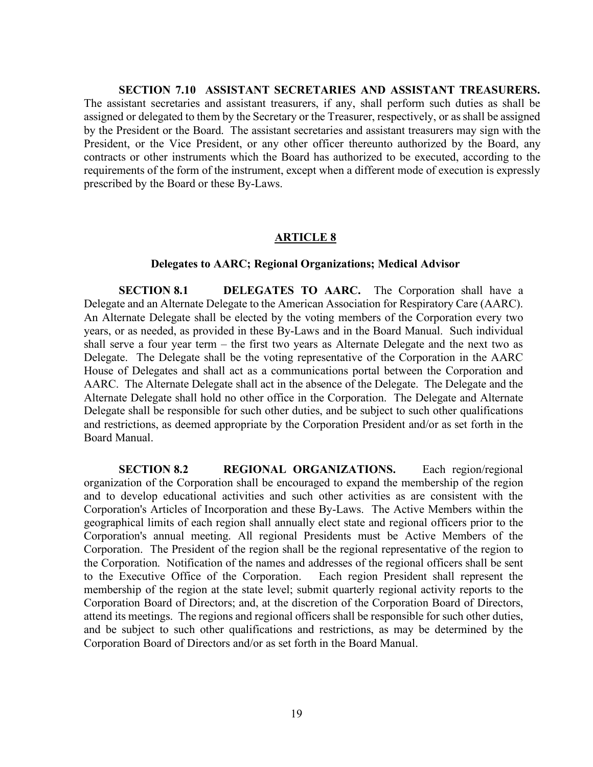**SECTION 7.10 ASSISTANT SECRETARIES AND ASSISTANT TREASURERS.**  The assistant secretaries and assistant treasurers, if any, shall perform such duties as shall be assigned or delegated to them by the Secretary or the Treasurer, respectively, or as shall be assigned by the President or the Board. The assistant secretaries and assistant treasurers may sign with the President, or the Vice President, or any other officer thereunto authorized by the Board, any contracts or other instruments which the Board has authorized to be executed, according to the requirements of the form of the instrument, except when a different mode of execution is expressly prescribed by the Board or these By-Laws.

### **ARTICLE 8**

#### **Delegates to AARC; Regional Organizations; Medical Advisor**

**SECTION 8.1 DELEGATES TO AARC.** The Corporation shall have a Delegate and an Alternate Delegate to the American Association for Respiratory Care (AARC). An Alternate Delegate shall be elected by the voting members of the Corporation every two years, or as needed, as provided in these By-Laws and in the Board Manual. Such individual shall serve a four year term – the first two years as Alternate Delegate and the next two as Delegate. The Delegate shall be the voting representative of the Corporation in the AARC House of Delegates and shall act as a communications portal between the Corporation and AARC. The Alternate Delegate shall act in the absence of the Delegate. The Delegate and the Alternate Delegate shall hold no other office in the Corporation. The Delegate and Alternate Delegate shall be responsible for such other duties, and be subject to such other qualifications and restrictions, as deemed appropriate by the Corporation President and/or as set forth in the Board Manual.

**SECTION 8.2 REGIONAL ORGANIZATIONS.** Each region/regional organization of the Corporation shall be encouraged to expand the membership of the region and to develop educational activities and such other activities as are consistent with the Corporation's Articles of Incorporation and these By-Laws. The Active Members within the geographical limits of each region shall annually elect state and regional officers prior to the Corporation's annual meeting. All regional Presidents must be Active Members of the Corporation. The President of the region shall be the regional representative of the region to the Corporation. Notification of the names and addresses of the regional officers shall be sent to the Executive Office of the Corporation. Each region President shall represent the membership of the region at the state level; submit quarterly regional activity reports to the Corporation Board of Directors; and, at the discretion of the Corporation Board of Directors, attend its meetings. The regions and regional officers shall be responsible for such other duties, and be subject to such other qualifications and restrictions, as may be determined by the Corporation Board of Directors and/or as set forth in the Board Manual.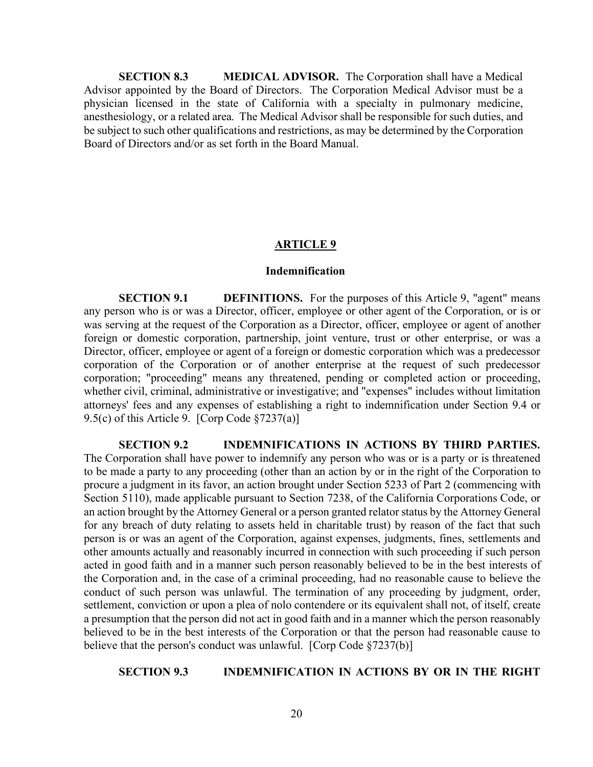**SECTION 8.3 MEDICAL ADVISOR.** The Corporation shall have a Medical Advisor appointed by the Board of Directors. The Corporation Medical Advisor must be a physician licensed in the state of California with a specialty in pulmonary medicine, anesthesiology, or a related area. The Medical Advisor shall be responsible for such duties, and be subject to such other qualifications and restrictions, as may be determined by the Corporation Board of Directors and/or as set forth in the Board Manual.

## **ARTICLE 9**

#### **Indemnification**

**SECTION 9.1 DEFINITIONS.** For the purposes of this Article 9, "agent" means any person who is or was a Director, officer, employee or other agent of the Corporation, or is or was serving at the request of the Corporation as a Director, officer, employee or agent of another foreign or domestic corporation, partnership, joint venture, trust or other enterprise, or was a Director, officer, employee or agent of a foreign or domestic corporation which was a predecessor corporation of the Corporation or of another enterprise at the request of such predecessor corporation; "proceeding" means any threatened, pending or completed action or proceeding, whether civil, criminal, administrative or investigative; and "expenses" includes without limitation attorneys' fees and any expenses of establishing a right to indemnification under Section 9.4 or 9.5(c) of this Article 9. [Corp Code §7237(a)]

**SECTION 9.2 INDEMNIFICATIONS IN ACTIONS BY THIRD PARTIES.** The Corporation shall have power to indemnify any person who was or is a party or is threatened to be made a party to any proceeding (other than an action by or in the right of the Corporation to procure a judgment in its favor, an action brought under Section 5233 of Part 2 (commencing with Section 5110), made applicable pursuant to Section 7238, of the California Corporations Code, or an action brought by the Attorney General or a person granted relator status by the Attorney General for any breach of duty relating to assets held in charitable trust) by reason of the fact that such person is or was an agent of the Corporation, against expenses, judgments, fines, settlements and other amounts actually and reasonably incurred in connection with such proceeding if such person acted in good faith and in a manner such person reasonably believed to be in the best interests of the Corporation and, in the case of a criminal proceeding, had no reasonable cause to believe the conduct of such person was unlawful. The termination of any proceeding by judgment, order, settlement, conviction or upon a plea of nolo contendere or its equivalent shall not, of itself, create a presumption that the person did not act in good faith and in a manner which the person reasonably believed to be in the best interests of the Corporation or that the person had reasonable cause to believe that the person's conduct was unlawful. [Corp Code §7237(b)]

# **SECTION 9.3 INDEMNIFICATION IN ACTIONS BY OR IN THE RIGHT**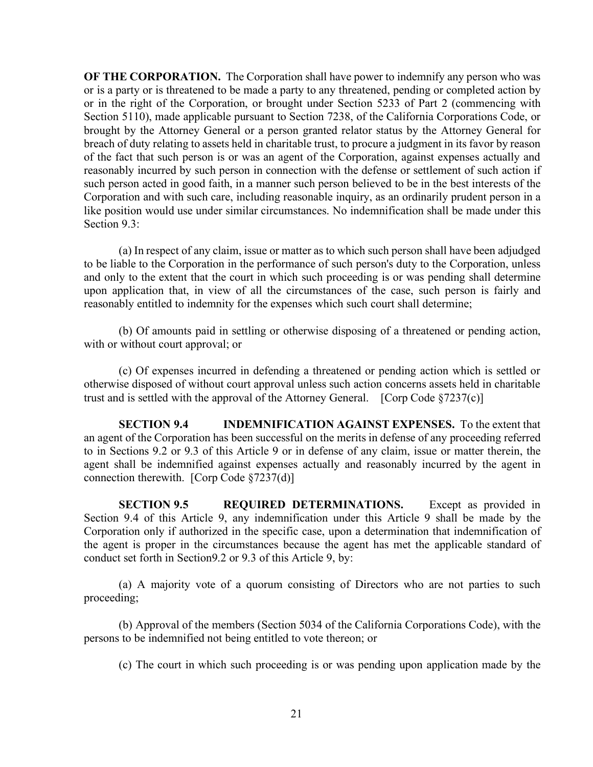**OF THE CORPORATION.** The Corporation shall have power to indemnify any person who was or is a party or is threatened to be made a party to any threatened, pending or completed action by or in the right of the Corporation, or brought under Section 5233 of Part 2 (commencing with Section 5110), made applicable pursuant to Section 7238, of the California Corporations Code, or brought by the Attorney General or a person granted relator status by the Attorney General for breach of duty relating to assets held in charitable trust, to procure a judgment in its favor by reason of the fact that such person is or was an agent of the Corporation, against expenses actually and reasonably incurred by such person in connection with the defense or settlement of such action if such person acted in good faith, in a manner such person believed to be in the best interests of the Corporation and with such care, including reasonable inquiry, as an ordinarily prudent person in a like position would use under similar circumstances. No indemnification shall be made under this Section 9.3:

(a) In respect of any claim, issue or matter as to which such person shall have been adjudged to be liable to the Corporation in the performance of such person's duty to the Corporation, unless and only to the extent that the court in which such proceeding is or was pending shall determine upon application that, in view of all the circumstances of the case, such person is fairly and reasonably entitled to indemnity for the expenses which such court shall determine;

(b) Of amounts paid in settling or otherwise disposing of a threatened or pending action, with or without court approval; or

(c) Of expenses incurred in defending a threatened or pending action which is settled or otherwise disposed of without court approval unless such action concerns assets held in charitable trust and is settled with the approval of the Attorney General. [Corp Code §7237(c)]

**SECTION 9.4 INDEMNIFICATION AGAINST EXPENSES.** To the extent that an agent of the Corporation has been successful on the merits in defense of any proceeding referred to in Sections 9.2 or 9.3 of this Article 9 or in defense of any claim, issue or matter therein, the agent shall be indemnified against expenses actually and reasonably incurred by the agent in connection therewith. [Corp Code §7237(d)]

**SECTION 9.5 REQUIRED DETERMINATIONS.** Except as provided in Section 9.4 of this Article 9, any indemnification under this Article 9 shall be made by the Corporation only if authorized in the specific case, upon a determination that indemnification of the agent is proper in the circumstances because the agent has met the applicable standard of conduct set forth in Section9.2 or 9.3 of this Article 9, by:

(a) A majority vote of a quorum consisting of Directors who are not parties to such proceeding;

(b) Approval of the members (Section 5034 of the California Corporations Code), with the persons to be indemnified not being entitled to vote thereon; or

(c) The court in which such proceeding is or was pending upon application made by the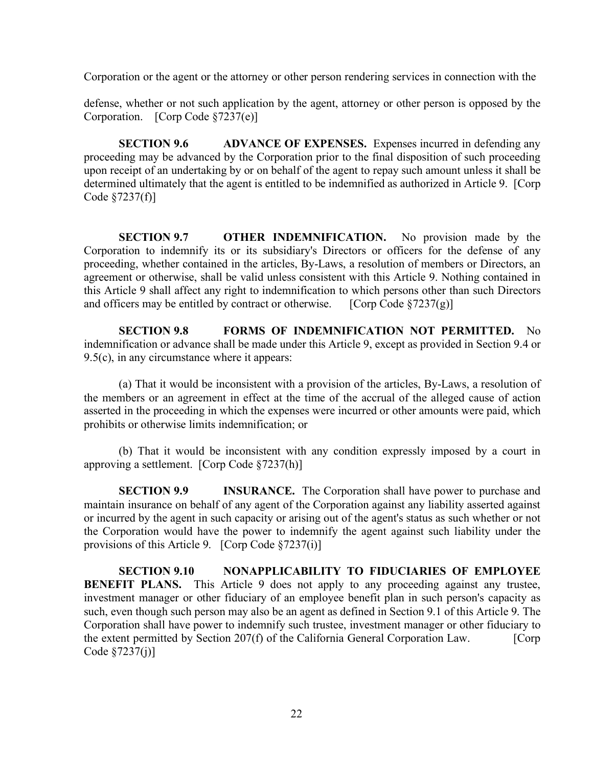Corporation or the agent or the attorney or other person rendering services in connection with the

defense, whether or not such application by the agent, attorney or other person is opposed by the Corporation. [Corp Code §7237(e)]

**SECTION 9.6 ADVANCE OF EXPENSES.** Expenses incurred in defending any proceeding may be advanced by the Corporation prior to the final disposition of such proceeding upon receipt of an undertaking by or on behalf of the agent to repay such amount unless it shall be determined ultimately that the agent is entitled to be indemnified as authorized in Article 9. [Corp Code §7237(f)]

**SECTION 9.7 OTHER INDEMNIFICATION.** No provision made by the Corporation to indemnify its or its subsidiary's Directors or officers for the defense of any proceeding, whether contained in the articles, By-Laws, a resolution of members or Directors, an agreement or otherwise, shall be valid unless consistent with this Article 9. Nothing contained in this Article 9 shall affect any right to indemnification to which persons other than such Directors and officers may be entitled by contract or otherwise. [Corp Code  $\S7237(g)$ ]

**SECTION 9.8 FORMS OF INDEMNIFICATION NOT PERMITTED.** No indemnification or advance shall be made under this Article 9, except as provided in Section 9.4 or 9.5(c), in any circumstance where it appears:

(a) That it would be inconsistent with a provision of the articles, By-Laws, a resolution of the members or an agreement in effect at the time of the accrual of the alleged cause of action asserted in the proceeding in which the expenses were incurred or other amounts were paid, which prohibits or otherwise limits indemnification; or

(b) That it would be inconsistent with any condition expressly imposed by a court in approving a settlement. [Corp Code §7237(h)]

**SECTION 9.9 INSURANCE.** The Corporation shall have power to purchase and maintain insurance on behalf of any agent of the Corporation against any liability asserted against or incurred by the agent in such capacity or arising out of the agent's status as such whether or not the Corporation would have the power to indemnify the agent against such liability under the provisions of this Article 9. [Corp Code §7237(i)]

**SECTION 9.10 NONAPPLICABILITY TO FIDUCIARIES OF EMPLOYEE BENEFIT PLANS.** This Article 9 does not apply to any proceeding against any trustee, investment manager or other fiduciary of an employee benefit plan in such person's capacity as such, even though such person may also be an agent as defined in Section 9.1 of this Article 9. The Corporation shall have power to indemnify such trustee, investment manager or other fiduciary to the extent permitted by Section 207(f) of the California General Corporation Law. [Corp Code §7237(j)]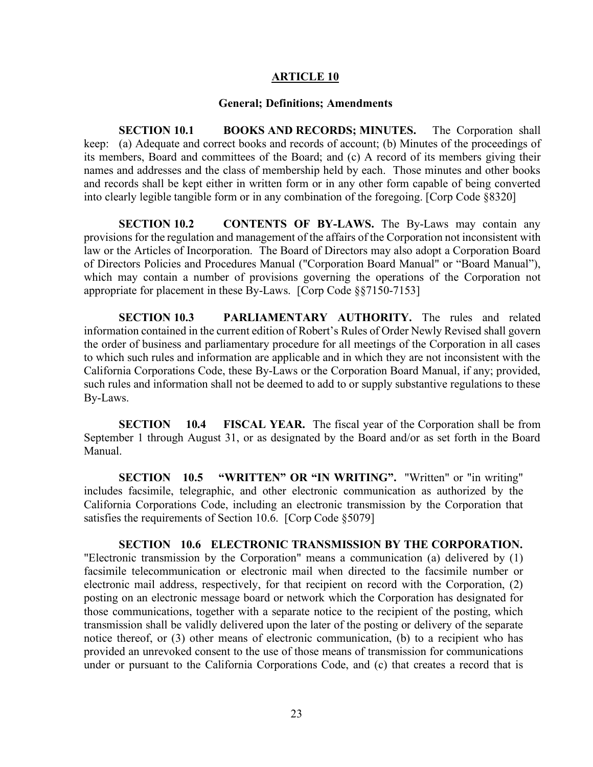### **ARTICLE 10**

#### **General; Definitions; Amendments**

**SECTION 10.1 BOOKS AND RECORDS; MINUTES.** The Corporation shall keep: (a) Adequate and correct books and records of account; (b) Minutes of the proceedings of its members, Board and committees of the Board; and (c) A record of its members giving their names and addresses and the class of membership held by each. Those minutes and other books and records shall be kept either in written form or in any other form capable of being converted into clearly legible tangible form or in any combination of the foregoing. [Corp Code §8320]

**SECTION 10.2 CONTENTS OF BY-LAWS.** The By-Laws may contain any provisions for the regulation and management of the affairs of the Corporation not inconsistent with law or the Articles of Incorporation. The Board of Directors may also adopt a Corporation Board of Directors Policies and Procedures Manual ("Corporation Board Manual" or "Board Manual"), which may contain a number of provisions governing the operations of the Corporation not appropriate for placement in these By-Laws. [Corp Code §§7150-7153]

**SECTION 10.3 PARLIAMENTARY AUTHORITY.** The rules and related information contained in the current edition of Robert's Rules of Order Newly Revised shall govern the order of business and parliamentary procedure for all meetings of the Corporation in all cases to which such rules and information are applicable and in which they are not inconsistent with the California Corporations Code, these By-Laws or the Corporation Board Manual, if any; provided, such rules and information shall not be deemed to add to or supply substantive regulations to these By-Laws.

**SECTION 10.4 FISCAL YEAR.** The fiscal year of the Corporation shall be from September 1 through August 31, or as designated by the Board and/or as set forth in the Board Manual.

**SECTION** 10.5 "WRITTEN" OR "IN WRITING". "Written" or "in writing" includes facsimile, telegraphic, and other electronic communication as authorized by the California Corporations Code, including an electronic transmission by the Corporation that satisfies the requirements of Section 10.6. [Corp Code §5079]

**SECTION 10.6 ELECTRONIC TRANSMISSION BY THE CORPORATION.** "Electronic transmission by the Corporation" means a communication (a) delivered by (1) facsimile telecommunication or electronic mail when directed to the facsimile number or electronic mail address, respectively, for that recipient on record with the Corporation, (2) posting on an electronic message board or network which the Corporation has designated for those communications, together with a separate notice to the recipient of the posting, which transmission shall be validly delivered upon the later of the posting or delivery of the separate notice thereof, or (3) other means of electronic communication, (b) to a recipient who has provided an unrevoked consent to the use of those means of transmission for communications under or pursuant to the California Corporations Code, and (c) that creates a record that is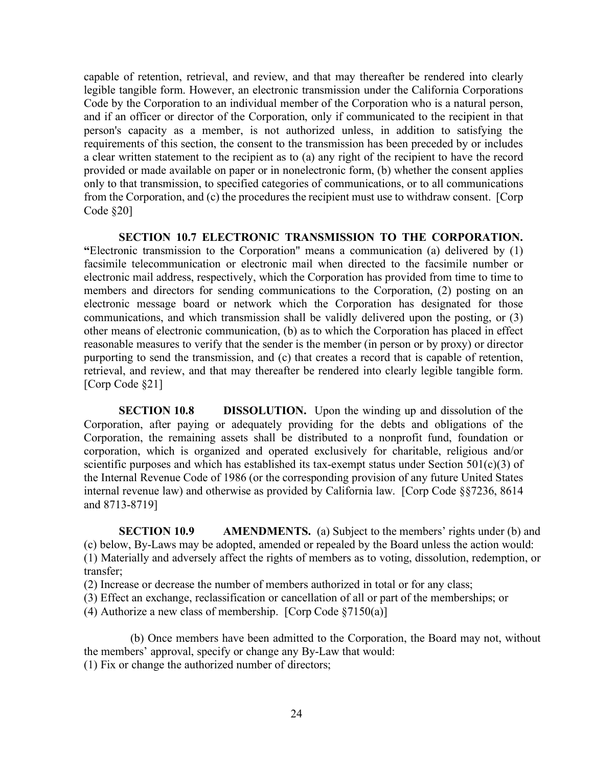capable of retention, retrieval, and review, and that may thereafter be rendered into clearly legible tangible form. However, an electronic transmission under the California Corporations Code by the Corporation to an individual member of the Corporation who is a natural person, and if an officer or director of the Corporation, only if communicated to the recipient in that person's capacity as a member, is not authorized unless, in addition to satisfying the requirements of this section, the consent to the transmission has been preceded by or includes a clear written statement to the recipient as to (a) any right of the recipient to have the record provided or made available on paper or in nonelectronic form, (b) whether the consent applies only to that transmission, to specified categories of communications, or to all communications from the Corporation, and (c) the procedures the recipient must use to withdraw consent. [Corp Code §20]

**SECTION 10.7 ELECTRONIC TRANSMISSION TO THE CORPORATION. "**Electronic transmission to the Corporation" means a communication (a) delivered by (1) facsimile telecommunication or electronic mail when directed to the facsimile number or electronic mail address, respectively, which the Corporation has provided from time to time to members and directors for sending communications to the Corporation, (2) posting on an electronic message board or network which the Corporation has designated for those communications, and which transmission shall be validly delivered upon the posting, or (3) other means of electronic communication, (b) as to which the Corporation has placed in effect reasonable measures to verify that the sender is the member (in person or by proxy) or director purporting to send the transmission, and (c) that creates a record that is capable of retention, retrieval, and review, and that may thereafter be rendered into clearly legible tangible form. [Corp Code §21]

**SECTION 10.8 DISSOLUTION.** Upon the winding up and dissolution of the Corporation, after paying or adequately providing for the debts and obligations of the Corporation, the remaining assets shall be distributed to a nonprofit fund, foundation or corporation, which is organized and operated exclusively for charitable, religious and/or scientific purposes and which has established its tax-exempt status under Section 501(c)(3) of the Internal Revenue Code of 1986 (or the corresponding provision of any future United States internal revenue law) and otherwise as provided by California law. [Corp Code §§7236, 8614 and 8713-8719]

**SECTION 10.9 AMENDMENTS.** (a) Subject to the members' rights under (b) and (c) below, By-Laws may be adopted, amended or repealed by the Board unless the action would: (1) Materially and adversely affect the rights of members as to voting, dissolution, redemption, or transfer;

(2) Increase or decrease the number of members authorized in total or for any class;

(3) Effect an exchange, reclassification or cancellation of all or part of the memberships; or

(4) Authorize a new class of membership. [Corp Code §7150(a)]

(b) Once members have been admitted to the Corporation, the Board may not, without the members' approval, specify or change any By-Law that would: (1) Fix or change the authorized number of directors;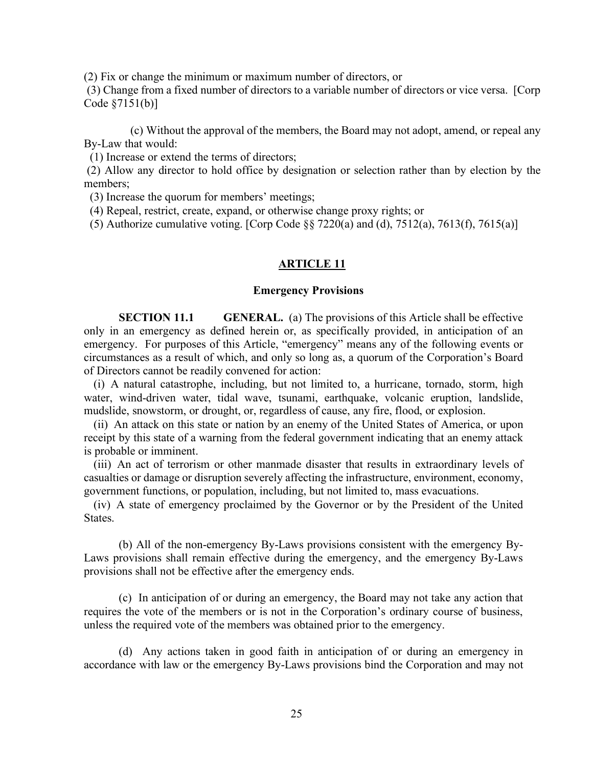(2) Fix or change the minimum or maximum number of directors, or

(3) Change from a fixed number of directors to a variable number of directors or vice versa. [Corp Code §7151(b)]

(c) Without the approval of the members, the Board may not adopt, amend, or repeal any By-Law that would:

(1) Increase or extend the terms of directors;

(2) Allow any director to hold office by designation or selection rather than by election by the members;

(3) Increase the quorum for members' meetings;

(4) Repeal, restrict, create, expand, or otherwise change proxy rights; or

(5) Authorize cumulative voting. [Corp Code §§ 7220(a) and (d), 7512(a), 7613(f), 7615(a)]

### **ARTICLE 11**

#### **Emergency Provisions**

**SECTION 11.1 GENERAL.** (a) The provisions of this Article shall be effective only in an emergency as defined herein or, as specifically provided, in anticipation of an emergency. For purposes of this Article, "emergency" means any of the following events or circumstances as a result of which, and only so long as, a quorum of the Corporation's Board of Directors cannot be readily convened for action:

(i) A natural catastrophe, including, but not limited to, a hurricane, tornado, storm, high water, wind-driven water, tidal wave, tsunami, earthquake, volcanic eruption, landslide, mudslide, snowstorm, or drought, or, regardless of cause, any fire, flood, or explosion.

(ii) An attack on this state or nation by an enemy of the United States of America, or upon receipt by this state of a warning from the federal government indicating that an enemy attack is probable or imminent.

(iii) An act of terrorism or other manmade disaster that results in extraordinary levels of casualties or damage or disruption severely affecting the infrastructure, environment, economy, government functions, or population, including, but not limited to, mass evacuations.

(iv) A state of emergency proclaimed by the Governor or by the President of the United States.

(b) All of the non-emergency By-Laws provisions consistent with the emergency By-Laws provisions shall remain effective during the emergency, and the emergency By-Laws provisions shall not be effective after the emergency ends.

(c) In anticipation of or during an emergency, the Board may not take any action that requires the vote of the members or is not in the Corporation's ordinary course of business, unless the required vote of the members was obtained prior to the emergency.

(d) Any actions taken in good faith in anticipation of or during an emergency in accordance with law or the emergency By-Laws provisions bind the Corporation and may not